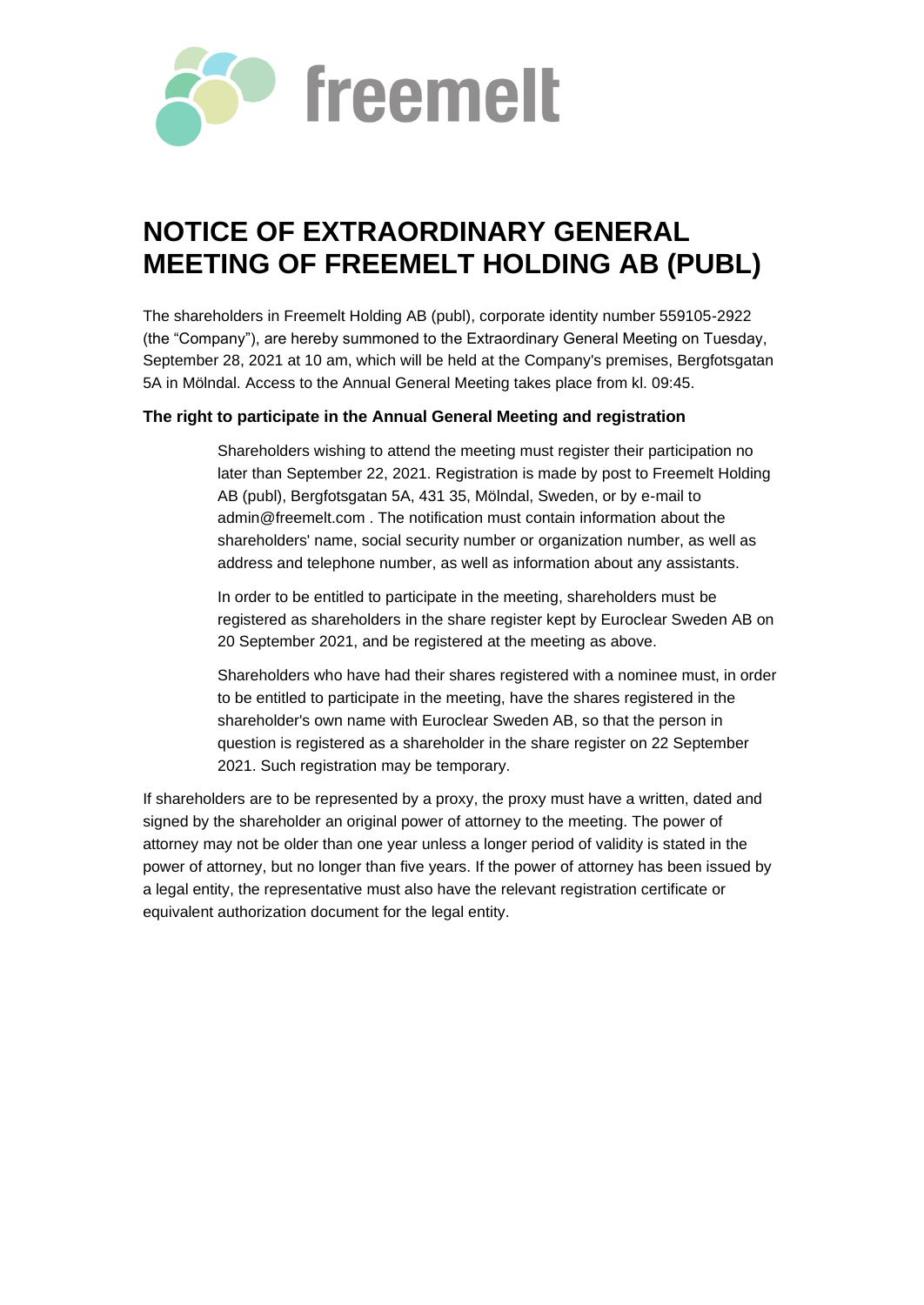

# **NOTICE OF EXTRAORDINARY GENERAL MEETING OF FREEMELT HOLDING AB (PUBL)**

The shareholders in Freemelt Holding AB (publ), corporate identity number 559105-2922 (the "Company"), are hereby summoned to the Extraordinary General Meeting on Tuesday, September 28, 2021 at 10 am, which will be held at the Company's premises, Bergfotsgatan 5A in Mölndal. Access to the Annual General Meeting takes place from kl. 09:45.

## **The right to participate in the Annual General Meeting and registration**

Shareholders wishing to attend the meeting must register their participation no later than September 22, 2021. Registration is made by post to Freemelt Holding AB (publ), Bergfotsgatan 5A, 431 35, Mölndal, Sweden, or by e-mail to admin@freemelt.com . The notification must contain information about the shareholders' name, social security number or organization number, as well as address and telephone number, as well as information about any assistants.

In order to be entitled to participate in the meeting, shareholders must be registered as shareholders in the share register kept by Euroclear Sweden AB on 20 September 2021, and be registered at the meeting as above.

Shareholders who have had their shares registered with a nominee must, in order to be entitled to participate in the meeting, have the shares registered in the shareholder's own name with Euroclear Sweden AB, so that the person in question is registered as a shareholder in the share register on 22 September 2021. Such registration may be temporary.

If shareholders are to be represented by a proxy, the proxy must have a written, dated and signed by the shareholder an original power of attorney to the meeting. The power of attorney may not be older than one year unless a longer period of validity is stated in the power of attorney, but no longer than five years. If the power of attorney has been issued by a legal entity, the representative must also have the relevant registration certificate or equivalent authorization document for the legal entity.